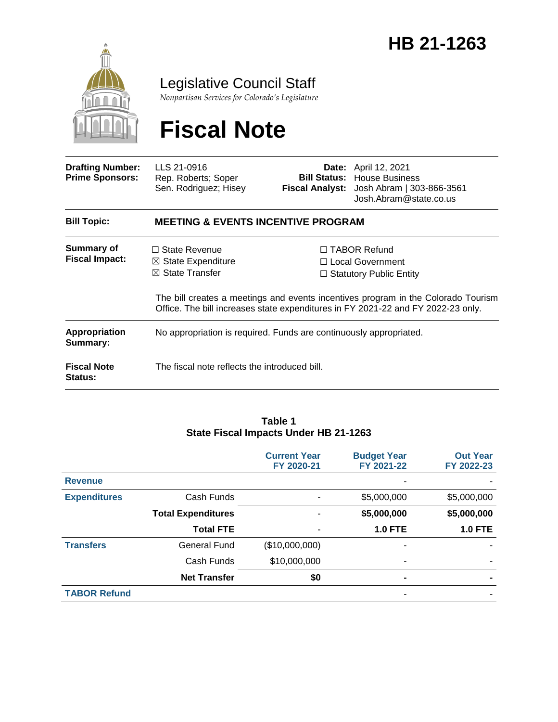

Legislative Council Staff

*Nonpartisan Services for Colorado's Legislature*

# **Fiscal Note**

| <b>Drafting Number:</b><br><b>Prime Sponsors:</b> | LLS 21-0916<br>Rep. Roberts; Soper<br>Sen. Rodriguez; Hisey                         |  | <b>Date:</b> April 12, 2021<br><b>Bill Status:</b> House Business<br>Fiscal Analyst: Josh Abram   303-866-3561<br>Josh.Abram@state.co.us                                                                                                                  |  |  |
|---------------------------------------------------|-------------------------------------------------------------------------------------|--|-----------------------------------------------------------------------------------------------------------------------------------------------------------------------------------------------------------------------------------------------------------|--|--|
| <b>Bill Topic:</b>                                | <b>MEETING &amp; EVENTS INCENTIVE PROGRAM</b>                                       |  |                                                                                                                                                                                                                                                           |  |  |
| Summary of<br><b>Fiscal Impact:</b>               | $\Box$ State Revenue<br>$\boxtimes$ State Expenditure<br>$\boxtimes$ State Transfer |  | $\Box$ TABOR Refund<br>$\Box$ Local Government<br>$\Box$ Statutory Public Entity<br>The bill creates a meetings and events incentives program in the Colorado Tourism<br>Office. The bill increases state expenditures in FY 2021-22 and FY 2022-23 only. |  |  |
| <b>Appropriation</b><br>Summary:                  | No appropriation is required. Funds are continuously appropriated.                  |  |                                                                                                                                                                                                                                                           |  |  |
| <b>Fiscal Note</b><br><b>Status:</b>              | The fiscal note reflects the introduced bill.                                       |  |                                                                                                                                                                                                                                                           |  |  |

#### **Table 1 State Fiscal Impacts Under HB 21-1263 Current Year FY 2020-21 Budget Year FY 2021-22**

|                     |                           | <b>Current Year</b><br>FY 2020-21 | <b>Budget Year</b><br>FY 2021-22 | <b>Out Year</b><br>FY 2022-23 |
|---------------------|---------------------------|-----------------------------------|----------------------------------|-------------------------------|
| <b>Revenue</b>      |                           |                                   | ۰                                |                               |
| <b>Expenditures</b> | Cash Funds                |                                   | \$5,000,000                      | \$5,000,000                   |
|                     | <b>Total Expenditures</b> |                                   | \$5,000,000                      | \$5,000,000                   |
|                     | <b>Total FTE</b>          |                                   | <b>1.0 FTE</b>                   | <b>1.0 FTE</b>                |
| <b>Transfers</b>    | <b>General Fund</b>       | (\$10,000,000)                    |                                  |                               |
|                     | Cash Funds                | \$10,000,000                      |                                  |                               |
|                     | <b>Net Transfer</b>       | \$0                               | $\blacksquare$                   |                               |
| <b>TABOR Refund</b> |                           |                                   | ۰                                |                               |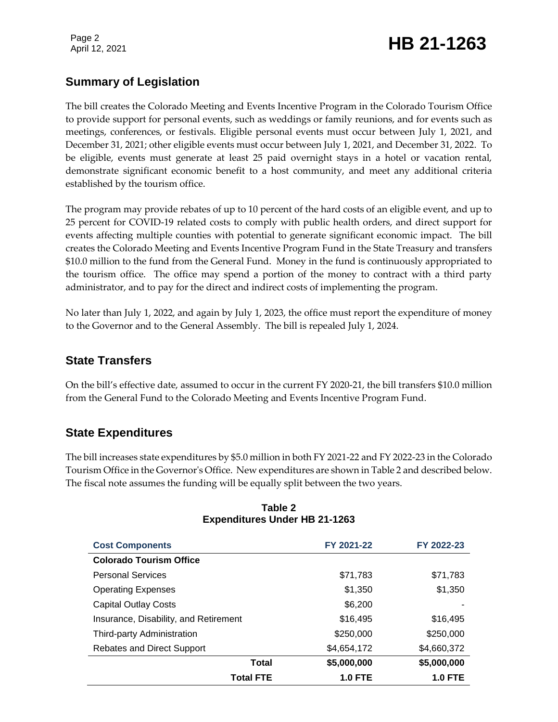Page 2

## Page 2<br>April 12, 2021 **HB 21-1263**

### **Summary of Legislation**

The bill creates the Colorado Meeting and Events Incentive Program in the Colorado Tourism Office to provide support for personal events, such as weddings or family reunions, and for events such as meetings, conferences, or festivals. Eligible personal events must occur between July 1, 2021, and December 31, 2021; other eligible events must occur between July 1, 2021, and December 31, 2022. To be eligible, events must generate at least 25 paid overnight stays in a hotel or vacation rental, demonstrate significant economic benefit to a host community, and meet any additional criteria established by the tourism office.

The program may provide rebates of up to 10 percent of the hard costs of an eligible event, and up to 25 percent for COVID-19 related costs to comply with public health orders, and direct support for events affecting multiple counties with potential to generate significant economic impact. The bill creates the Colorado Meeting and Events Incentive Program Fund in the State Treasury and transfers \$10.0 million to the fund from the General Fund. Money in the fund is continuously appropriated to the tourism office. The office may spend a portion of the money to contract with a third party administrator, and to pay for the direct and indirect costs of implementing the program.

No later than July 1, 2022, and again by July 1, 2023, the office must report the expenditure of money to the Governor and to the General Assembly. The bill is repealed July 1, 2024.

### **State Transfers**

On the bill's effective date, assumed to occur in the current FY 2020-21, the bill transfers \$10.0 million from the General Fund to the Colorado Meeting and Events Incentive Program Fund.

### **State Expenditures**

The bill increases state expenditures by \$5.0 million in both FY 2021-22 and FY 2022-23 in the Colorado Tourism Office in the Governor's Office. New expenditures are shown in Table 2 and described below. The fiscal note assumes the funding will be equally split between the two years.

| <b>Cost Components</b>                | FY 2021-22     | FY 2022-23     |
|---------------------------------------|----------------|----------------|
| <b>Colorado Tourism Office</b>        |                |                |
| <b>Personal Services</b>              | \$71,783       | \$71,783       |
| <b>Operating Expenses</b>             | \$1,350        | \$1,350        |
| <b>Capital Outlay Costs</b>           | \$6,200        |                |
| Insurance, Disability, and Retirement | \$16,495       | \$16,495       |
| Third-party Administration            | \$250,000      | \$250,000      |
| <b>Rebates and Direct Support</b>     | \$4,654,172    | \$4,660,372    |
| Total                                 | \$5,000,000    | \$5,000,000    |
| <b>Total FTE</b>                      | <b>1.0 FTE</b> | <b>1.0 FTE</b> |

#### **Table 2 Expenditures Under HB 21-1263**